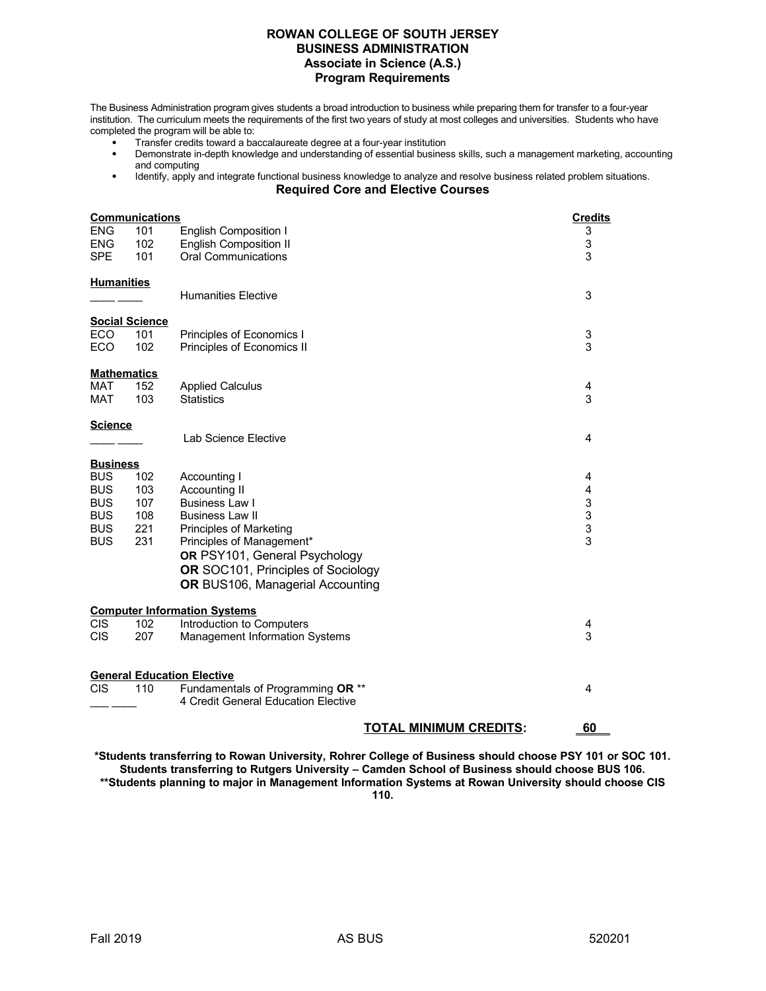## **ROWAN COLLEGE OF SOUTH JERSEY BUSINESS ADMINISTRATION Associate in Science (A.S.) Program Requirements**

The Business Administration program gives students a broad introduction to business while preparing them for transfer to a four-year institution. The curriculum meets the requirements of the first two years of study at most colleges and universities. Students who have completed the program will be able to:

- Transfer credits toward a baccalaureate degree at a four-year institution
- Demonstrate in-depth knowledge and understanding of essential business skills, such a management marketing, accounting and computing
- Identify, apply and integrate functional business knowledge to analyze and resolve business related problem situations. **Required Core and Elective Courses**

| <b>ENG</b><br><b>ENG</b><br><b>SPE</b>                                                              | <b>Communications</b><br>101<br><b>English Composition I</b><br>102<br><b>English Composition II</b><br><b>Oral Communications</b><br>101 |                                                                                                                                                                                                                                                            |                                                                        |  |  |  |
|-----------------------------------------------------------------------------------------------------|-------------------------------------------------------------------------------------------------------------------------------------------|------------------------------------------------------------------------------------------------------------------------------------------------------------------------------------------------------------------------------------------------------------|------------------------------------------------------------------------|--|--|--|
| <b>Humanities</b>                                                                                   |                                                                                                                                           | <b>Humanities Elective</b>                                                                                                                                                                                                                                 | 3                                                                      |  |  |  |
| <b>ECO</b><br><b>ECO</b>                                                                            | <b>Social Science</b><br>101<br>102                                                                                                       | Principles of Economics I<br>Principles of Economics II                                                                                                                                                                                                    | 3<br>3                                                                 |  |  |  |
| <b>Mathematics</b><br>MAT<br><b>MAT</b>                                                             | 152<br>103                                                                                                                                | <b>Applied Calculus</b><br><b>Statistics</b>                                                                                                                                                                                                               | 4<br>3                                                                 |  |  |  |
| <b>Science</b>                                                                                      |                                                                                                                                           | Lab Science Elective                                                                                                                                                                                                                                       | 4                                                                      |  |  |  |
| <b>Business</b><br><b>BUS</b><br><b>BUS</b><br><b>BUS</b><br><b>BUS</b><br><b>BUS</b><br><b>BUS</b> | 102<br>103<br>107<br>108<br>221<br>231                                                                                                    | Accounting I<br>Accounting II<br>Business Law I<br><b>Business Law II</b><br><b>Principles of Marketing</b><br>Principles of Management*<br>OR PSY101, General Psychology<br><b>OR</b> SOC101, Principles of Sociology<br>OR BUS106, Managerial Accounting | 4<br>4<br>$\begin{array}{c} 3 \\ 3 \\ 3 \end{array}$<br>$\overline{3}$ |  |  |  |
| <b>CIS</b>                                                                                          | 102                                                                                                                                       | <b>Computer Information Systems</b><br>Introduction to Computers                                                                                                                                                                                           |                                                                        |  |  |  |
| <b>CIS</b>                                                                                          | 207                                                                                                                                       | <b>Management Information Systems</b>                                                                                                                                                                                                                      | 4<br>3                                                                 |  |  |  |
| <b>CIS</b>                                                                                          | 110                                                                                                                                       | <b>General Education Elective</b><br>Fundamentals of Programming OR **                                                                                                                                                                                     | 4                                                                      |  |  |  |
|                                                                                                     |                                                                                                                                           | 4 Credit General Education Elective<br><b>TOTAL MINIMUM CREDITS:</b>                                                                                                                                                                                       | 60                                                                     |  |  |  |

**\*Students transferring to Rowan University, Rohrer College of Business should choose PSY 101 or SOC 101. Students transferring to Rutgers University – Camden School of Business should choose BUS 106. \*\*Students planning to major in Management Information Systems at Rowan University should choose CIS 110.**